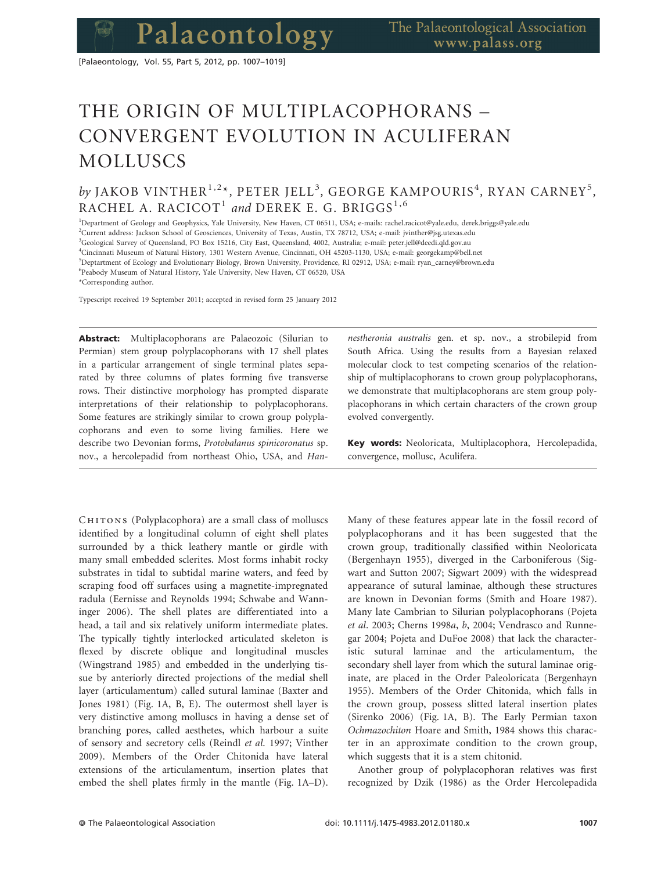[Palaeontology, Vol. 55, Part 5, 2012, pp. 1007–1019]

Palaeontology

# THE ORIGIN OF MULTIPLACOPHORANS – CONVERGENT EVOLUTION IN ACULIFERAN MOLLUSCS

## $by$  JAKOB VINTHER $^{1,2\, \star}$ , peter Jell $^3$ , george Kampouris $^4$ , ryan carney $^5$ , RACHEL A. RACICOT<sup>1</sup> and DEREK E. G. BRIGGS<sup>1,6</sup>

 Department of Geology and Geophysics, Yale University, New Haven, CT 06511, USA; e-mails: rachel.racicot@yale.edu, derek.briggs@yale.edu Current address: Jackson School of Geosciences, University of Texas, Austin, TX 78712, USA; e-mail: jvinther@jsg.utexas.edu Geological Survey of Queensland, PO Box 15216, City East, Queensland, 4002, Australia; e-mail: peter.jell@deedi.qld.gov.au Cincinnati Museum of Natural History, 1301 Western Avenue, Cincinnati, OH 45203-1130, USA; e-mail: georgekamp@bell.net

5 Deptartment of Ecology and Evolutionary Biology, Brown University, Providence, RI 02912, USA; e-mail: ryan\_carney@brown.edu

6 Peabody Museum of Natural History, Yale University, New Haven, CT 06520, USA

\*Corresponding author.

Typescript received 19 September 2011; accepted in revised form 25 January 2012

Abstract: Multiplacophorans are Palaeozoic (Silurian to Permian) stem group polyplacophorans with 17 shell plates in a particular arrangement of single terminal plates separated by three columns of plates forming five transverse rows. Their distinctive morphology has prompted disparate interpretations of their relationship to polyplacophorans. Some features are strikingly similar to crown group polyplacophorans and even to some living families. Here we describe two Devonian forms, Protobalanus spinicoronatus sp. nov., a hercolepadid from northeast Ohio, USA, and Han-

CHITONS (Polyplacophora) are a small class of molluscs identified by a longitudinal column of eight shell plates surrounded by a thick leathery mantle or girdle with many small embedded sclerites. Most forms inhabit rocky substrates in tidal to subtidal marine waters, and feed by scraping food off surfaces using a magnetite-impregnated radula (Eernisse and Reynolds 1994; Schwabe and Wanninger 2006). The shell plates are differentiated into a head, a tail and six relatively uniform intermediate plates. The typically tightly interlocked articulated skeleton is flexed by discrete oblique and longitudinal muscles (Wingstrand 1985) and embedded in the underlying tissue by anteriorly directed projections of the medial shell layer (articulamentum) called sutural laminae (Baxter and Jones 1981) (Fig. 1A, B, E). The outermost shell layer is very distinctive among molluscs in having a dense set of branching pores, called aesthetes, which harbour a suite of sensory and secretory cells (Reindl et al. 1997; Vinther 2009). Members of the Order Chitonida have lateral extensions of the articulamentum, insertion plates that embed the shell plates firmly in the mantle (Fig. 1A–D). nestheronia australis gen. et sp. nov., a strobilepid from South Africa. Using the results from a Bayesian relaxed molecular clock to test competing scenarios of the relationship of multiplacophorans to crown group polyplacophorans, we demonstrate that multiplacophorans are stem group polyplacophorans in which certain characters of the crown group evolved convergently.

Key words: Neoloricata, Multiplacophora, Hercolepadida, convergence, mollusc, Aculifera.

Many of these features appear late in the fossil record of polyplacophorans and it has been suggested that the crown group, traditionally classified within Neoloricata (Bergenhayn 1955), diverged in the Carboniferous (Sigwart and Sutton 2007; Sigwart 2009) with the widespread appearance of sutural laminae, although these structures are known in Devonian forms (Smith and Hoare 1987). Many late Cambrian to Silurian polyplacophorans (Pojeta et al. 2003; Cherns 1998a, b, 2004; Vendrasco and Runnegar 2004; Pojeta and DuFoe 2008) that lack the characteristic sutural laminae and the articulamentum, the secondary shell layer from which the sutural laminae originate, are placed in the Order Paleoloricata (Bergenhayn 1955). Members of the Order Chitonida, which falls in the crown group, possess slitted lateral insertion plates (Sirenko 2006) (Fig. 1A, B). The Early Permian taxon Ochmazochiton Hoare and Smith, 1984 shows this character in an approximate condition to the crown group, which suggests that it is a stem chitonid.

Another group of polyplacophoran relatives was first recognized by Dzik (1986) as the Order Hercolepadida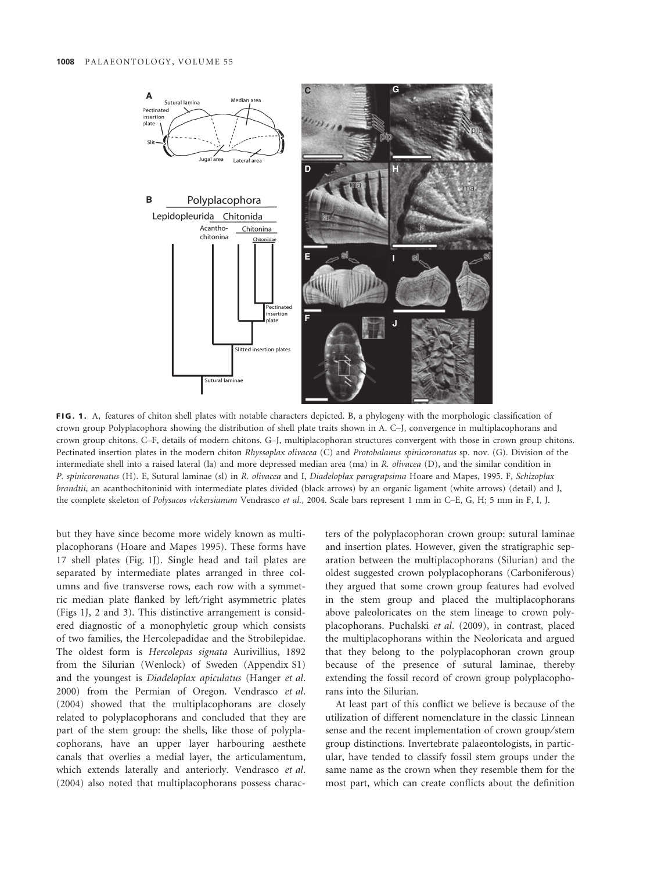

FIG. 1. A, features of chiton shell plates with notable characters depicted. B, a phylogeny with the morphologic classification of crown group Polyplacophora showing the distribution of shell plate traits shown in A. C–J, convergence in multiplacophorans and crown group chitons. C–F, details of modern chitons. G–J, multiplacophoran structures convergent with those in crown group chitons. Pectinated insertion plates in the modern chiton Rhyssoplax olivacea (C) and Protobalanus spinicoronatus sp. nov. (G). Division of the intermediate shell into a raised lateral (la) and more depressed median area (ma) in R. olivacea (D), and the similar condition in P. spinicoronatus (H). E, Sutural laminae (sl) in R. olivacea and I, Diadeloplax paragrapsima Hoare and Mapes, 1995. F, Schizoplax brandtii, an acanthochitoninid with intermediate plates divided (black arrows) by an organic ligament (white arrows) (detail) and J, the complete skeleton of Polysacos vickersianum Vendrasco et al., 2004. Scale bars represent 1 mm in C–E, G, H; 5 mm in F, I, J.

but they have since become more widely known as multiplacophorans (Hoare and Mapes 1995). These forms have 17 shell plates (Fig. 1J). Single head and tail plates are separated by intermediate plates arranged in three columns and five transverse rows, each row with a symmetric median plate flanked by left⁄right asymmetric plates (Figs 1J, 2 and 3). This distinctive arrangement is considered diagnostic of a monophyletic group which consists of two families, the Hercolepadidae and the Strobilepidae. The oldest form is Hercolepas signata Aurivillius, 1892 from the Silurian (Wenlock) of Sweden (Appendix S1) and the youngest is Diadeloplax apiculatus (Hanger et al. 2000) from the Permian of Oregon. Vendrasco et al. (2004) showed that the multiplacophorans are closely related to polyplacophorans and concluded that they are part of the stem group: the shells, like those of polyplacophorans, have an upper layer harbouring aesthete canals that overlies a medial layer, the articulamentum, which extends laterally and anteriorly. Vendrasco et al. (2004) also noted that multiplacophorans possess charac-

ters of the polyplacophoran crown group: sutural laminae and insertion plates. However, given the stratigraphic separation between the multiplacophorans (Silurian) and the oldest suggested crown polyplacophorans (Carboniferous) they argued that some crown group features had evolved in the stem group and placed the multiplacophorans above paleoloricates on the stem lineage to crown polyplacophorans. Puchalski et al. (2009), in contrast, placed the multiplacophorans within the Neoloricata and argued that they belong to the polyplacophoran crown group because of the presence of sutural laminae, thereby extending the fossil record of crown group polyplacophorans into the Silurian.

At least part of this conflict we believe is because of the utilization of different nomenclature in the classic Linnean sense and the recent implementation of crown group/stem group distinctions. Invertebrate palaeontologists, in particular, have tended to classify fossil stem groups under the same name as the crown when they resemble them for the most part, which can create conflicts about the definition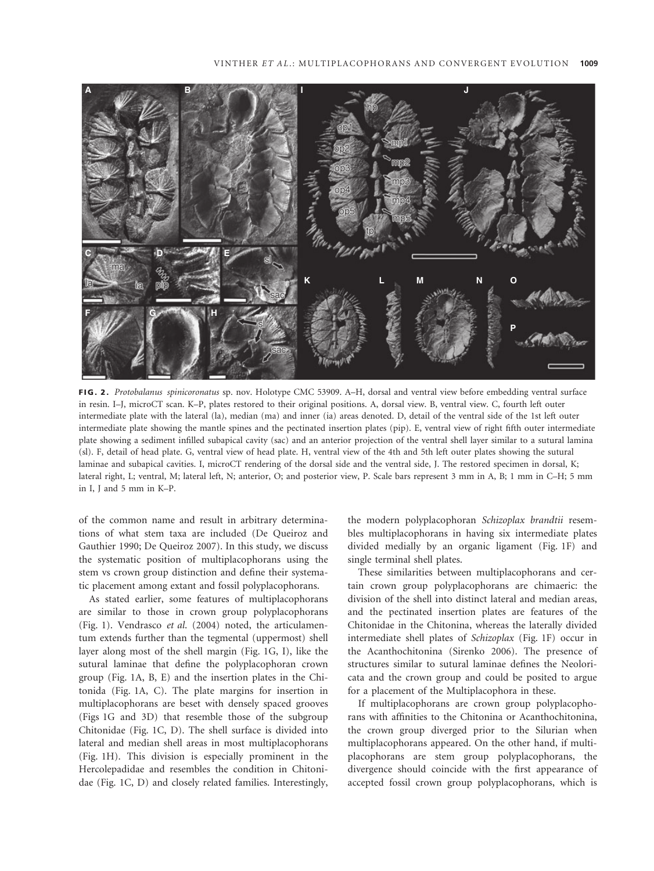

FIG. 2. Protobalanus spinicoronatus sp. nov. Holotype CMC 53909. A–H, dorsal and ventral view before embedding ventral surface in resin. I–J, microCT scan. K–P, plates restored to their original positions. A, dorsal view. B, ventral view. C, fourth left outer intermediate plate with the lateral (la), median (ma) and inner (ia) areas denoted. D, detail of the ventral side of the 1st left outer intermediate plate showing the mantle spines and the pectinated insertion plates (pip). E, ventral view of right fifth outer intermediate plate showing a sediment infilled subapical cavity (sac) and an anterior projection of the ventral shell layer similar to a sutural lamina (sl). F, detail of head plate. G, ventral view of head plate. H, ventral view of the 4th and 5th left outer plates showing the sutural laminae and subapical cavities. I, microCT rendering of the dorsal side and the ventral side, J. The restored specimen in dorsal, K; lateral right, L; ventral, M; lateral left, N; anterior, O; and posterior view, P. Scale bars represent 3 mm in A, B; 1 mm in C–H; 5 mm in I, J and 5 mm in K–P.

of the common name and result in arbitrary determinations of what stem taxa are included (De Queiroz and Gauthier 1990; De Queiroz 2007). In this study, we discuss the systematic position of multiplacophorans using the stem vs crown group distinction and define their systematic placement among extant and fossil polyplacophorans.

As stated earlier, some features of multiplacophorans are similar to those in crown group polyplacophorans (Fig. 1). Vendrasco et al. (2004) noted, the articulamentum extends further than the tegmental (uppermost) shell layer along most of the shell margin (Fig. 1G, I), like the sutural laminae that define the polyplacophoran crown group (Fig. 1A, B, E) and the insertion plates in the Chitonida (Fig. 1A, C). The plate margins for insertion in multiplacophorans are beset with densely spaced grooves (Figs 1G and 3D) that resemble those of the subgroup Chitonidae (Fig. 1C, D). The shell surface is divided into lateral and median shell areas in most multiplacophorans (Fig. 1H). This division is especially prominent in the Hercolepadidae and resembles the condition in Chitonidae (Fig. 1C, D) and closely related families. Interestingly, the modern polyplacophoran Schizoplax brandtii resembles multiplacophorans in having six intermediate plates divided medially by an organic ligament (Fig. 1F) and single terminal shell plates.

These similarities between multiplacophorans and certain crown group polyplacophorans are chimaeric: the division of the shell into distinct lateral and median areas, and the pectinated insertion plates are features of the Chitonidae in the Chitonina, whereas the laterally divided intermediate shell plates of Schizoplax (Fig. 1F) occur in the Acanthochitonina (Sirenko 2006). The presence of structures similar to sutural laminae defines the Neoloricata and the crown group and could be posited to argue for a placement of the Multiplacophora in these.

If multiplacophorans are crown group polyplacophorans with affinities to the Chitonina or Acanthochitonina, the crown group diverged prior to the Silurian when multiplacophorans appeared. On the other hand, if multiplacophorans are stem group polyplacophorans, the divergence should coincide with the first appearance of accepted fossil crown group polyplacophorans, which is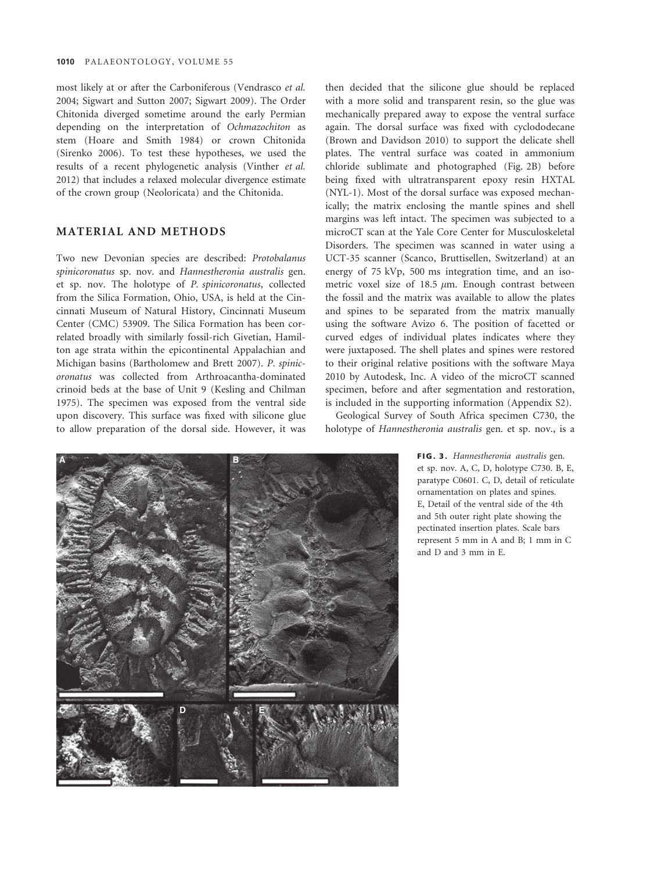most likely at or after the Carboniferous (Vendrasco et al. 2004; Sigwart and Sutton 2007; Sigwart 2009). The Order Chitonida diverged sometime around the early Permian depending on the interpretation of Ochmazochiton as stem (Hoare and Smith 1984) or crown Chitonida (Sirenko 2006). To test these hypotheses, we used the results of a recent phylogenetic analysis (Vinther et al. 2012) that includes a relaxed molecular divergence estimate of the crown group (Neoloricata) and the Chitonida.

## MATERIAL AND METHODS

Two new Devonian species are described: Protobalanus spinicoronatus sp. nov. and Hannestheronia australis gen. et sp. nov. The holotype of P. spinicoronatus, collected from the Silica Formation, Ohio, USA, is held at the Cincinnati Museum of Natural History, Cincinnati Museum Center (CMC) 53909. The Silica Formation has been correlated broadly with similarly fossil-rich Givetian, Hamilton age strata within the epicontinental Appalachian and Michigan basins (Bartholomew and Brett 2007). P. spinicoronatus was collected from Arthroacantha-dominated crinoid beds at the base of Unit 9 (Kesling and Chilman 1975). The specimen was exposed from the ventral side upon discovery. This surface was fixed with silicone glue to allow preparation of the dorsal side. However, it was

then decided that the silicone glue should be replaced with a more solid and transparent resin, so the glue was mechanically prepared away to expose the ventral surface again. The dorsal surface was fixed with cyclododecane (Brown and Davidson 2010) to support the delicate shell plates. The ventral surface was coated in ammonium chloride sublimate and photographed (Fig. 2B) before being fixed with ultratransparent epoxy resin HXTAL (NYL-1). Most of the dorsal surface was exposed mechanically; the matrix enclosing the mantle spines and shell margins was left intact. The specimen was subjected to a microCT scan at the Yale Core Center for Musculoskeletal Disorders. The specimen was scanned in water using a UCT-35 scanner (Scanco, Bruttisellen, Switzerland) at an energy of 75 kVp, 500 ms integration time, and an isometric voxel size of 18.5  $\mu$ m. Enough contrast between the fossil and the matrix was available to allow the plates and spines to be separated from the matrix manually using the software Avizo 6. The position of facetted or curved edges of individual plates indicates where they were juxtaposed. The shell plates and spines were restored to their original relative positions with the software Maya 2010 by Autodesk, Inc. A video of the microCT scanned specimen, before and after segmentation and restoration, is included in the supporting information (Appendix S2).

Geological Survey of South Africa specimen C730, the holotype of Hannestheronia australis gen. et sp. nov., is a

> FIG. 3. Hannestheronia australis gen. et sp. nov. A, C, D, holotype C730. B, E, paratype C0601. C, D, detail of reticulate ornamentation on plates and spines. E, Detail of the ventral side of the 4th and 5th outer right plate showing the pectinated insertion plates. Scale bars represent 5 mm in A and B; 1 mm in C and D and 3 mm in E.

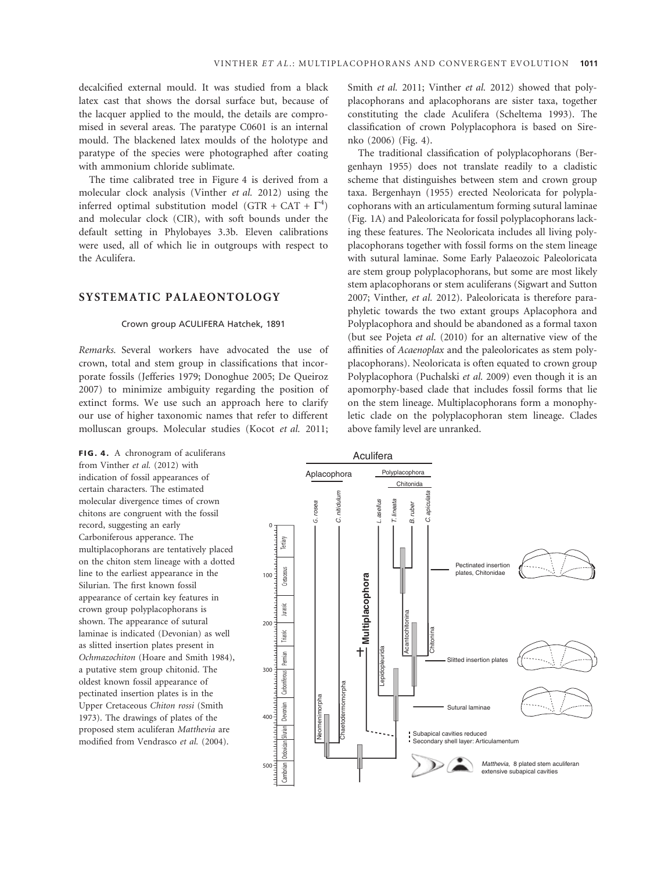decalcified external mould. It was studied from a black latex cast that shows the dorsal surface but, because of the lacquer applied to the mould, the details are compromised in several areas. The paratype C0601 is an internal mould. The blackened latex moulds of the holotype and paratype of the species were photographed after coating with ammonium chloride sublimate.

The time calibrated tree in Figure 4 is derived from a molecular clock analysis (Vinther et al. 2012) using the inferred optimal substitution model (GTR + CAT +  $\Gamma^4$ ) and molecular clock (CIR), with soft bounds under the default setting in Phylobayes 3.3b. Eleven calibrations were used, all of which lie in outgroups with respect to the Aculifera.

## SYSTEMATIC PALAEONTOLOGY

#### Crown group ACULIFERA Hatchek, 1891

Remarks. Several workers have advocated the use of crown, total and stem group in classifications that incorporate fossils (Jefferies 1979; Donoghue 2005; De Queiroz 2007) to minimize ambiguity regarding the position of extinct forms. We use such an approach here to clarify our use of higher taxonomic names that refer to different molluscan groups. Molecular studies (Kocot et al. 2011;

FIG. 4. A chronogram of aculiferans from Vinther et al. (2012) with indication of fossil appearances of certain characters. The estimated molecular divergence times of crown chitons are congruent with the fossil record, suggesting an early Carboniferous apperance. The multiplacophorans are tentatively placed on the chiton stem lineage with a dotted line to the earliest appearance in the Silurian. The first known fossil appearance of certain key features in crown group polyplacophorans is shown. The appearance of sutural laminae is indicated (Devonian) as well as slitted insertion plates present in Ochmazochiton (Hoare and Smith 1984), a putative stem group chitonid. The oldest known fossil appearance of pectinated insertion plates is in the Upper Cretaceous Chiton rossi (Smith 1973). The drawings of plates of the proposed stem aculiferan Matthevia are modified from Vendrasco et al. (2004).

Smith et al. 2011; Vinther et al. 2012) showed that polyplacophorans and aplacophorans are sister taxa, together constituting the clade Aculifera (Scheltema 1993). The classification of crown Polyplacophora is based on Sirenko (2006) (Fig. 4).

The traditional classification of polyplacophorans (Bergenhayn 1955) does not translate readily to a cladistic scheme that distinguishes between stem and crown group taxa. Bergenhayn (1955) erected Neoloricata for polyplacophorans with an articulamentum forming sutural laminae (Fig. 1A) and Paleoloricata for fossil polyplacophorans lacking these features. The Neoloricata includes all living polyplacophorans together with fossil forms on the stem lineage with sutural laminae. Some Early Palaeozoic Paleoloricata are stem group polyplacophorans, but some are most likely stem aplacophorans or stem aculiferans (Sigwart and Sutton 2007; Vinther, et al. 2012). Paleoloricata is therefore paraphyletic towards the two extant groups Aplacophora and Polyplacophora and should be abandoned as a formal taxon (but see Pojeta et al. (2010) for an alternative view of the affinities of Acaenoplax and the paleoloricates as stem polyplacophorans). Neoloricata is often equated to crown group Polyplacophora (Puchalski et al. 2009) even though it is an apomorphy-based clade that includes fossil forms that lie on the stem lineage. Multiplacophorans form a monophyletic clade on the polyplacophoran stem lineage. Clades above family level are unranked.

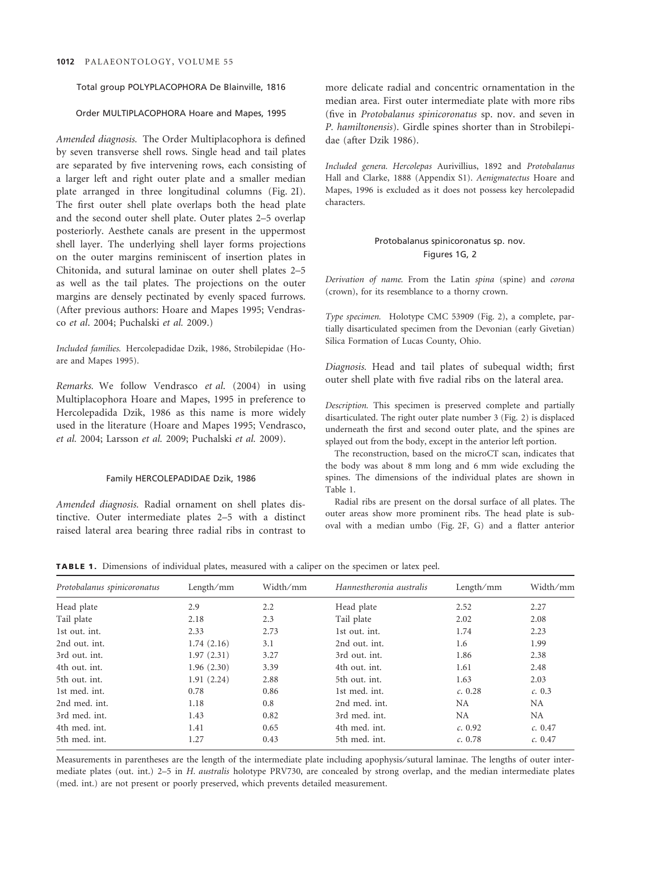#### Total group POLYPLACOPHORA De Blainville, 1816

#### Order MULTIPLACOPHORA Hoare and Mapes, 1995

Amended diagnosis. The Order Multiplacophora is defined by seven transverse shell rows. Single head and tail plates are separated by five intervening rows, each consisting of a larger left and right outer plate and a smaller median plate arranged in three longitudinal columns (Fig. 2I). The first outer shell plate overlaps both the head plate and the second outer shell plate. Outer plates 2–5 overlap posteriorly. Aesthete canals are present in the uppermost shell layer. The underlying shell layer forms projections on the outer margins reminiscent of insertion plates in Chitonida, and sutural laminae on outer shell plates 2–5 as well as the tail plates. The projections on the outer margins are densely pectinated by evenly spaced furrows. (After previous authors: Hoare and Mapes 1995; Vendrasco et al. 2004; Puchalski et al. 2009.)

Included families. Hercolepadidae Dzik, 1986, Strobilepidae (Hoare and Mapes 1995).

Remarks. We follow Vendrasco et al. (2004) in using Multiplacophora Hoare and Mapes, 1995 in preference to Hercolepadida Dzik, 1986 as this name is more widely used in the literature (Hoare and Mapes 1995; Vendrasco, et al. 2004; Larsson et al. 2009; Puchalski et al. 2009).

#### Family HERCOLEPADIDAE Dzik, 1986

Amended diagnosis. Radial ornament on shell plates distinctive. Outer intermediate plates 2–5 with a distinct raised lateral area bearing three radial ribs in contrast to

more delicate radial and concentric ornamentation in the median area. First outer intermediate plate with more ribs (five in Protobalanus spinicoronatus sp. nov. and seven in P. hamiltonensis). Girdle spines shorter than in Strobilepidae (after Dzik 1986).

Included genera. Hercolepas Aurivillius, 1892 and Protobalanus Hall and Clarke, 1888 (Appendix S1). Aenigmatectus Hoare and Mapes, 1996 is excluded as it does not possess key hercolepadid characters.

## Protobalanus spinicoronatus sp. nov. Figures 1G, 2

Derivation of name. From the Latin spina (spine) and corona (crown), for its resemblance to a thorny crown.

Type specimen. Holotype CMC 53909 (Fig. 2), a complete, partially disarticulated specimen from the Devonian (early Givetian) Silica Formation of Lucas County, Ohio.

Diagnosis. Head and tail plates of subequal width; first outer shell plate with five radial ribs on the lateral area.

Description. This specimen is preserved complete and partially disarticulated. The right outer plate number 3 (Fig. 2) is displaced underneath the first and second outer plate, and the spines are splayed out from the body, except in the anterior left portion.

The reconstruction, based on the microCT scan, indicates that the body was about 8 mm long and 6 mm wide excluding the spines. The dimensions of the individual plates are shown in Table 1.

Radial ribs are present on the dorsal surface of all plates. The outer areas show more prominent ribs. The head plate is suboval with a median umbo (Fig. 2F, G) and a flatter anterior

TABLE 1. Dimensions of individual plates, measured with a caliper on the specimen or latex peel.

| Protobalanus spinicoronatus | Length/mm  | Width/mm | Hannestheronia australis | Length/ $mm$ | Width/mm |
|-----------------------------|------------|----------|--------------------------|--------------|----------|
| Head plate                  | 2.9        | 2.2      | Head plate               | 2.52         | 2.27     |
| Tail plate                  | 2.18       | 2.3      | Tail plate               | 2.02         | 2.08     |
| 1st out. int.               | 2.33       | 2.73     | 1st out, int.            | 1.74         | 2.23     |
| 2nd out. int.               | 1.74(2.16) | 3.1      | 2nd out. int.            | 1.6          | 1.99     |
| 3rd out. int.               | 1.97(2.31) | 3.27     | 3rd out. int.            | 1.86         | 2.38     |
| 4th out. int.               | 1.96(2.30) | 3.39     | 4th out. int.            | 1.61         | 2.48     |
| 5th out. int.               | 1.91(2.24) | 2.88     | 5th out. int.            | 1.63         | 2.03     |
| 1st med. int.               | 0.78       | 0.86     | 1st med. int.            | c. 0.28      | c. 0.3   |
| 2nd med. int.               | 1.18       | 0.8      | 2nd med. int.            | NA.          | NA.      |
| 3rd med. int.               | 1.43       | 0.82     | 3rd med. int.            | NA.          | NA.      |
| 4th med. int.               | 1.41       | 0.65     | 4th med. int.            | c. 0.92      | c. 0.47  |
| 5th med. int.               | 1.27       | 0.43     | 5th med. int.            | c. 0.78      | c. 0.47  |

Measurements in parentheses are the length of the intermediate plate including apophysis⁄sutural laminae. The lengths of outer intermediate plates (out. int.) 2-5 in H. australis holotype PRV730, are concealed by strong overlap, and the median intermediate plates (med. int.) are not present or poorly preserved, which prevents detailed measurement.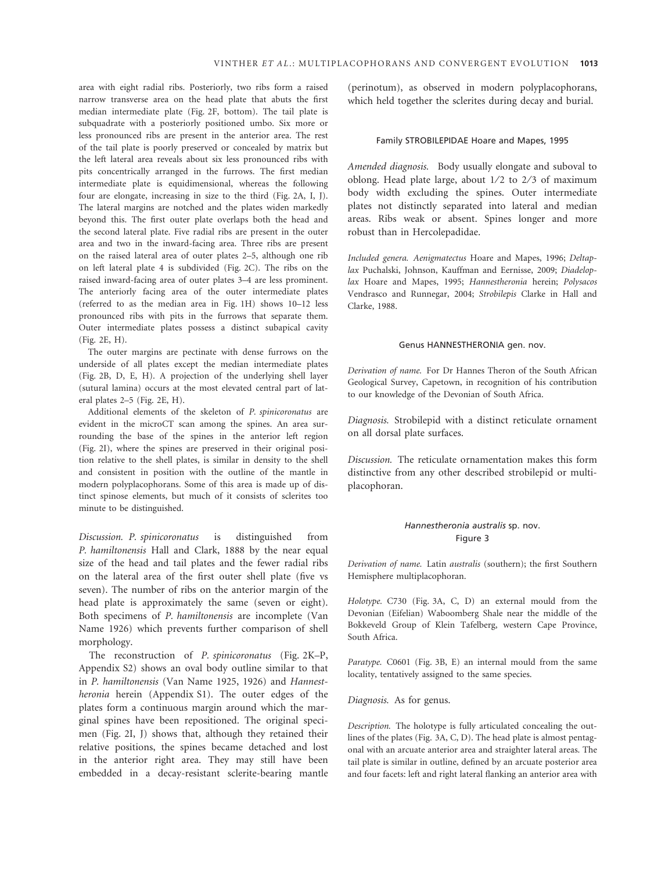area with eight radial ribs. Posteriorly, two ribs form a raised narrow transverse area on the head plate that abuts the first median intermediate plate (Fig. 2F, bottom). The tail plate is subquadrate with a posteriorly positioned umbo. Six more or less pronounced ribs are present in the anterior area. The rest of the tail plate is poorly preserved or concealed by matrix but the left lateral area reveals about six less pronounced ribs with pits concentrically arranged in the furrows. The first median intermediate plate is equidimensional, whereas the following four are elongate, increasing in size to the third (Fig. 2A, I, J). The lateral margins are notched and the plates widen markedly beyond this. The first outer plate overlaps both the head and the second lateral plate. Five radial ribs are present in the outer area and two in the inward-facing area. Three ribs are present on the raised lateral area of outer plates 2–5, although one rib on left lateral plate 4 is subdivided (Fig. 2C). The ribs on the raised inward-facing area of outer plates 3–4 are less prominent. The anteriorly facing area of the outer intermediate plates (referred to as the median area in Fig. 1H) shows 10–12 less pronounced ribs with pits in the furrows that separate them. Outer intermediate plates possess a distinct subapical cavity (Fig. 2E, H).

The outer margins are pectinate with dense furrows on the underside of all plates except the median intermediate plates (Fig. 2B, D, E, H). A projection of the underlying shell layer (sutural lamina) occurs at the most elevated central part of lateral plates 2–5 (Fig. 2E, H).

Additional elements of the skeleton of P. spinicoronatus are evident in the microCT scan among the spines. An area surrounding the base of the spines in the anterior left region (Fig. 2I), where the spines are preserved in their original position relative to the shell plates, is similar in density to the shell and consistent in position with the outline of the mantle in modern polyplacophorans. Some of this area is made up of distinct spinose elements, but much of it consists of sclerites too minute to be distinguished.

Discussion. P. spinicoronatus is distinguished from P. hamiltonensis Hall and Clark, 1888 by the near equal size of the head and tail plates and the fewer radial ribs on the lateral area of the first outer shell plate (five vs seven). The number of ribs on the anterior margin of the head plate is approximately the same (seven or eight). Both specimens of P. hamiltonensis are incomplete (Van Name 1926) which prevents further comparison of shell morphology.

The reconstruction of P. spinicoronatus (Fig. 2K–P, Appendix S2) shows an oval body outline similar to that in P. hamiltonensis (Van Name 1925, 1926) and Hannestheronia herein (Appendix S1). The outer edges of the plates form a continuous margin around which the marginal spines have been repositioned. The original specimen (Fig. 2I, J) shows that, although they retained their relative positions, the spines became detached and lost in the anterior right area. They may still have been embedded in a decay-resistant sclerite-bearing mantle

(perinotum), as observed in modern polyplacophorans, which held together the sclerites during decay and burial.

#### Family STROBILEPIDAE Hoare and Mapes, 1995

Amended diagnosis. Body usually elongate and suboval to oblong. Head plate large, about  $1/2$  to  $2/3$  of maximum body width excluding the spines. Outer intermediate plates not distinctly separated into lateral and median areas. Ribs weak or absent. Spines longer and more robust than in Hercolepadidae.

Included genera. Aenigmatectus Hoare and Mapes, 1996; Deltaplax Puchalski, Johnson, Kauffman and Eernisse, 2009; Diadeloplax Hoare and Mapes, 1995; Hannestheronia herein; Polysacos Vendrasco and Runnegar, 2004; Strobilepis Clarke in Hall and Clarke, 1988.

#### Genus HANNESTHERONIA gen. nov.

Derivation of name. For Dr Hannes Theron of the South African Geological Survey, Capetown, in recognition of his contribution to our knowledge of the Devonian of South Africa.

Diagnosis. Strobilepid with a distinct reticulate ornament on all dorsal plate surfaces.

Discussion. The reticulate ornamentation makes this form distinctive from any other described strobilepid or multiplacophoran.

## Hannestheronia australis sp. nov. Figure 3

Derivation of name. Latin australis (southern); the first Southern Hemisphere multiplacophoran.

Holotype. C730 (Fig. 3A, C, D) an external mould from the Devonian (Eifelian) Waboomberg Shale near the middle of the Bokkeveld Group of Klein Tafelberg, western Cape Province, South Africa.

Paratype. C0601 (Fig. 3B, E) an internal mould from the same locality, tentatively assigned to the same species.

Diagnosis. As for genus.

Description. The holotype is fully articulated concealing the outlines of the plates (Fig. 3A, C, D). The head plate is almost pentagonal with an arcuate anterior area and straighter lateral areas. The tail plate is similar in outline, defined by an arcuate posterior area and four facets: left and right lateral flanking an anterior area with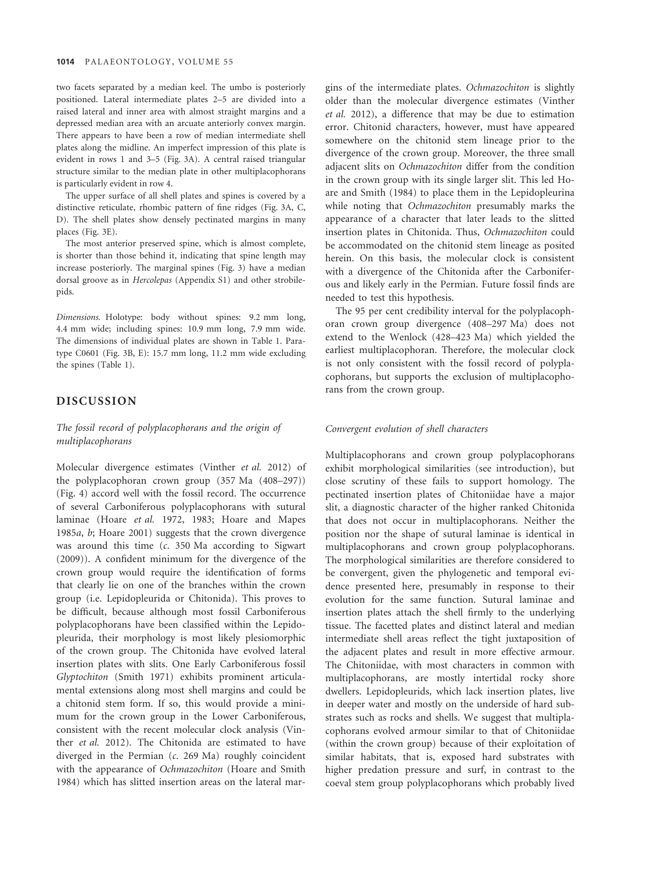two facets separated by a median keel. The umbo is posteriorly positioned. Lateral intermediate plates 2–5 are divided into a raised lateral and inner area with almost straight margins and a depressed median area with an arcuate anteriorly convex margin. There appears to have been a row of median intermediate shell plates along the midline. An imperfect impression of this plate is evident in rows 1 and 3–5 (Fig. 3A). A central raised triangular structure similar to the median plate in other multiplacophorans is particularly evident in row 4.

The upper surface of all shell plates and spines is covered by a distinctive reticulate, rhombic pattern of fine ridges (Fig. 3A, C, D). The shell plates show densely pectinated margins in many places (Fig. 3E).

The most anterior preserved spine, which is almost complete, is shorter than those behind it, indicating that spine length may increase posteriorly. The marginal spines (Fig. 3) have a median dorsal groove as in Hercolepas (Appendix S1) and other strobilepids.

Dimensions. Holotype: body without spines: 9.2 mm long, 4.4 mm wide; including spines: 10.9 mm long, 7.9 mm wide. The dimensions of individual plates are shown in Table 1. Paratype C0601 (Fig. 3B, E): 15.7 mm long, 11.2 mm wide excluding the spines (Table 1).

## DISCUSSION

## The fossil record of polyplacophorans and the origin of multiplacophorans

Molecular divergence estimates (Vinther et al. 2012) of the polyplacophoran crown group (357 Ma (408–297)) (Fig. 4) accord well with the fossil record. The occurrence of several Carboniferous polyplacophorans with sutural laminae (Hoare et al. 1972, 1983; Hoare and Mapes 1985a, b; Hoare 2001) suggests that the crown divergence was around this time  $(c. 350 \text{ Ma according to Sigwart})$ (2009)). A confident minimum for the divergence of the crown group would require the identification of forms that clearly lie on one of the branches within the crown group (i.e. Lepidopleurida or Chitonida). This proves to be difficult, because although most fossil Carboniferous polyplacophorans have been classified within the Lepidopleurida, their morphology is most likely plesiomorphic of the crown group. The Chitonida have evolved lateral insertion plates with slits. One Early Carboniferous fossil Glyptochiton (Smith 1971) exhibits prominent articulamental extensions along most shell margins and could be a chitonid stem form. If so, this would provide a minimum for the crown group in the Lower Carboniferous, consistent with the recent molecular clock analysis (Vinther et al. 2012). The Chitonida are estimated to have diverged in the Permian (c. 269 Ma) roughly coincident with the appearance of Ochmazochiton (Hoare and Smith 1984) which has slitted insertion areas on the lateral mar-

gins of the intermediate plates. Ochmazochiton is slightly older than the molecular divergence estimates (Vinther et al. 2012), a difference that may be due to estimation error. Chitonid characters, however, must have appeared somewhere on the chitonid stem lineage prior to the divergence of the crown group. Moreover, the three small adjacent slits on Ochmazochiton differ from the condition in the crown group with its single larger slit. This led Hoare and Smith (1984) to place them in the Lepidopleurina while noting that *Ochmazochiton* presumably marks the appearance of a character that later leads to the slitted insertion plates in Chitonida. Thus, Ochmazochiton could be accommodated on the chitonid stem lineage as posited herein. On this basis, the molecular clock is consistent with a divergence of the Chitonida after the Carboniferous and likely early in the Permian. Future fossil finds are needed to test this hypothesis.

The 95 per cent credibility interval for the polyplacophoran crown group divergence (408–297 Ma) does not extend to the Wenlock (428–423 Ma) which yielded the earliest multiplacophoran. Therefore, the molecular clock is not only consistent with the fossil record of polyplacophorans, but supports the exclusion of multiplacophorans from the crown group.

#### Convergent evolution of shell characters

Multiplacophorans and crown group polyplacophorans exhibit morphological similarities (see introduction), but close scrutiny of these fails to support homology. The pectinated insertion plates of Chitoniidae have a major slit, a diagnostic character of the higher ranked Chitonida that does not occur in multiplacophorans. Neither the position nor the shape of sutural laminae is identical in multiplacophorans and crown group polyplacophorans. The morphological similarities are therefore considered to be convergent, given the phylogenetic and temporal evidence presented here, presumably in response to their evolution for the same function. Sutural laminae and insertion plates attach the shell firmly to the underlying tissue. The facetted plates and distinct lateral and median intermediate shell areas reflect the tight juxtaposition of the adjacent plates and result in more effective armour. The Chitoniidae, with most characters in common with multiplacophorans, are mostly intertidal rocky shore dwellers. Lepidopleurids, which lack insertion plates, live in deeper water and mostly on the underside of hard substrates such as rocks and shells. We suggest that multiplacophorans evolved armour similar to that of Chitoniidae (within the crown group) because of their exploitation of similar habitats, that is, exposed hard substrates with higher predation pressure and surf, in contrast to the coeval stem group polyplacophorans which probably lived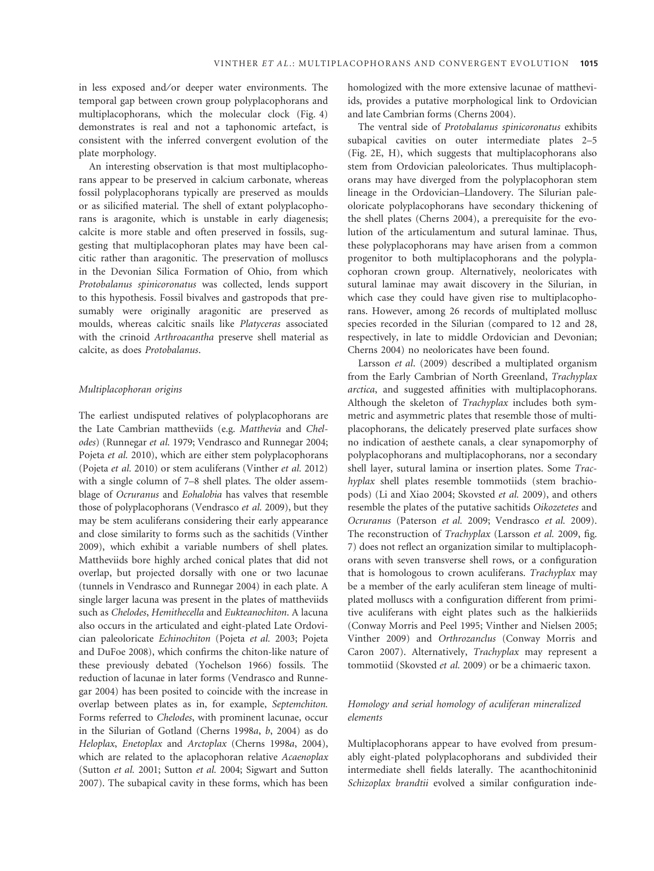in less exposed and/or deeper water environments. The temporal gap between crown group polyplacophorans and multiplacophorans, which the molecular clock (Fig. 4) demonstrates is real and not a taphonomic artefact, is consistent with the inferred convergent evolution of the plate morphology.

An interesting observation is that most multiplacophorans appear to be preserved in calcium carbonate, whereas fossil polyplacophorans typically are preserved as moulds or as silicified material. The shell of extant polyplacophorans is aragonite, which is unstable in early diagenesis; calcite is more stable and often preserved in fossils, suggesting that multiplacophoran plates may have been calcitic rather than aragonitic. The preservation of molluscs in the Devonian Silica Formation of Ohio, from which Protobalanus spinicoronatus was collected, lends support to this hypothesis. Fossil bivalves and gastropods that presumably were originally aragonitic are preserved as moulds, whereas calcitic snails like Platyceras associated with the crinoid Arthroacantha preserve shell material as calcite, as does Protobalanus.

#### Multiplacophoran origins

The earliest undisputed relatives of polyplacophorans are the Late Cambrian mattheviids (e.g. Matthevia and Chelodes) (Runnegar et al. 1979; Vendrasco and Runnegar 2004; Pojeta et al. 2010), which are either stem polyplacophorans (Pojeta et al. 2010) or stem aculiferans (Vinther et al. 2012) with a single column of 7–8 shell plates. The older assemblage of Ocruranus and Eohalobia has valves that resemble those of polyplacophorans (Vendrasco et al. 2009), but they may be stem aculiferans considering their early appearance and close similarity to forms such as the sachitids (Vinther 2009), which exhibit a variable numbers of shell plates. Mattheviids bore highly arched conical plates that did not overlap, but projected dorsally with one or two lacunae (tunnels in Vendrasco and Runnegar 2004) in each plate. A single larger lacuna was present in the plates of mattheviids such as Chelodes, Hemithecella and Eukteanochiton. A lacuna also occurs in the articulated and eight-plated Late Ordovician paleoloricate Echinochiton (Pojeta et al. 2003; Pojeta and DuFoe 2008), which confirms the chiton-like nature of these previously debated (Yochelson 1966) fossils. The reduction of lacunae in later forms (Vendrasco and Runnegar 2004) has been posited to coincide with the increase in overlap between plates as in, for example, Septemchiton. Forms referred to Chelodes, with prominent lacunae, occur in the Silurian of Gotland (Cherns 1998a, b, 2004) as do Heloplax, Enetoplax and Arctoplax (Cherns 1998a, 2004), which are related to the aplacophoran relative Acaenoplax (Sutton et al. 2001; Sutton et al. 2004; Sigwart and Sutton 2007). The subapical cavity in these forms, which has been homologized with the more extensive lacunae of mattheviids, provides a putative morphological link to Ordovician and late Cambrian forms (Cherns 2004).

The ventral side of Protobalanus spinicoronatus exhibits subapical cavities on outer intermediate plates 2–5 (Fig. 2E, H), which suggests that multiplacophorans also stem from Ordovician paleoloricates. Thus multiplacophorans may have diverged from the polyplacophoran stem lineage in the Ordovician–Llandovery. The Silurian paleoloricate polyplacophorans have secondary thickening of the shell plates (Cherns 2004), a prerequisite for the evolution of the articulamentum and sutural laminae. Thus, these polyplacophorans may have arisen from a common progenitor to both multiplacophorans and the polyplacophoran crown group. Alternatively, neoloricates with sutural laminae may await discovery in the Silurian, in which case they could have given rise to multiplacophorans. However, among 26 records of multiplated mollusc species recorded in the Silurian (compared to 12 and 28, respectively, in late to middle Ordovician and Devonian; Cherns 2004) no neoloricates have been found.

Larsson et al. (2009) described a multiplated organism from the Early Cambrian of North Greenland, Trachyplax arctica, and suggested affinities with multiplacophorans. Although the skeleton of Trachyplax includes both symmetric and asymmetric plates that resemble those of multiplacophorans, the delicately preserved plate surfaces show no indication of aesthete canals, a clear synapomorphy of polyplacophorans and multiplacophorans, nor a secondary shell layer, sutural lamina or insertion plates. Some Trachyplax shell plates resemble tommotiids (stem brachiopods) (Li and Xiao 2004; Skovsted et al. 2009), and others resemble the plates of the putative sachitids Oikozetetes and Ocruranus (Paterson et al. 2009; Vendrasco et al. 2009). The reconstruction of Trachyplax (Larsson et al. 2009, fig. 7) does not reflect an organization similar to multiplacophorans with seven transverse shell rows, or a configuration that is homologous to crown aculiferans. Trachyplax may be a member of the early aculiferan stem lineage of multiplated molluscs with a configuration different from primitive aculiferans with eight plates such as the halkieriids (Conway Morris and Peel 1995; Vinther and Nielsen 2005; Vinther 2009) and Orthrozanclus (Conway Morris and Caron 2007). Alternatively, Trachyplax may represent a tommotiid (Skovsted et al. 2009) or be a chimaeric taxon.

## Homology and serial homology of aculiferan mineralized elements

Multiplacophorans appear to have evolved from presumably eight-plated polyplacophorans and subdivided their intermediate shell fields laterally. The acanthochitoninid Schizoplax brandtii evolved a similar configuration inde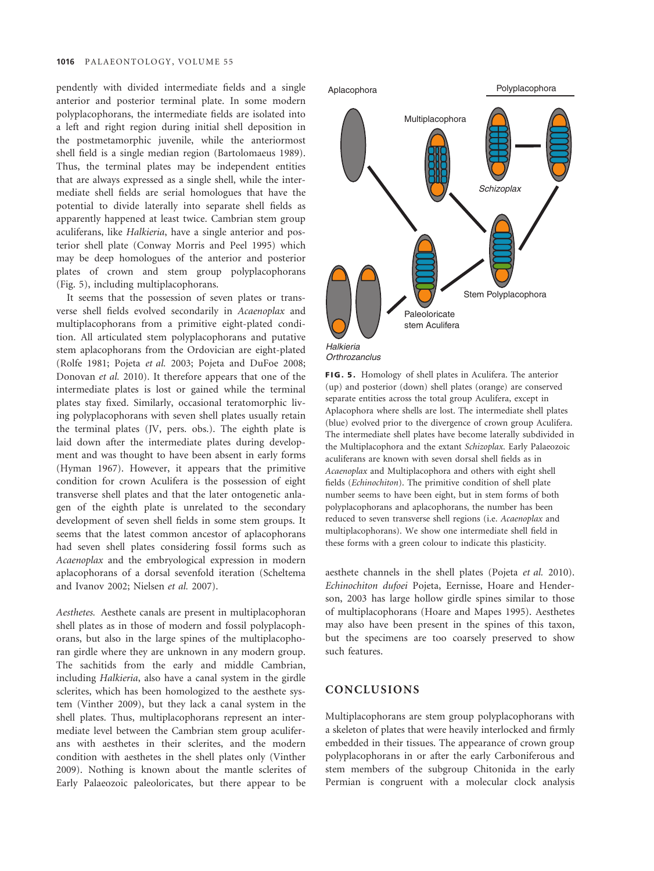pendently with divided intermediate fields and a single anterior and posterior terminal plate. In some modern polyplacophorans, the intermediate fields are isolated into a left and right region during initial shell deposition in the postmetamorphic juvenile, while the anteriormost shell field is a single median region (Bartolomaeus 1989). Thus, the terminal plates may be independent entities that are always expressed as a single shell, while the intermediate shell fields are serial homologues that have the potential to divide laterally into separate shell fields as apparently happened at least twice. Cambrian stem group aculiferans, like Halkieria, have a single anterior and posterior shell plate (Conway Morris and Peel 1995) which may be deep homologues of the anterior and posterior plates of crown and stem group polyplacophorans (Fig. 5), including multiplacophorans.

It seems that the possession of seven plates or transverse shell fields evolved secondarily in Acaenoplax and multiplacophorans from a primitive eight-plated condition. All articulated stem polyplacophorans and putative stem aplacophorans from the Ordovician are eight-plated (Rolfe 1981; Pojeta et al. 2003; Pojeta and DuFoe 2008; Donovan et al. 2010). It therefore appears that one of the intermediate plates is lost or gained while the terminal plates stay fixed. Similarly, occasional teratomorphic living polyplacophorans with seven shell plates usually retain the terminal plates (JV, pers. obs.). The eighth plate is laid down after the intermediate plates during development and was thought to have been absent in early forms (Hyman 1967). However, it appears that the primitive condition for crown Aculifera is the possession of eight transverse shell plates and that the later ontogenetic anlagen of the eighth plate is unrelated to the secondary development of seven shell fields in some stem groups. It seems that the latest common ancestor of aplacophorans had seven shell plates considering fossil forms such as Acaenoplax and the embryological expression in modern aplacophorans of a dorsal sevenfold iteration (Scheltema and Ivanov 2002; Nielsen et al. 2007).

Aesthetes. Aesthete canals are present in multiplacophoran shell plates as in those of modern and fossil polyplacophorans, but also in the large spines of the multiplacophoran girdle where they are unknown in any modern group. The sachitids from the early and middle Cambrian, including Halkieria, also have a canal system in the girdle sclerites, which has been homologized to the aesthete system (Vinther 2009), but they lack a canal system in the shell plates. Thus, multiplacophorans represent an intermediate level between the Cambrian stem group aculiferans with aesthetes in their sclerites, and the modern condition with aesthetes in the shell plates only (Vinther 2009). Nothing is known about the mantle sclerites of Early Palaeozoic paleoloricates, but there appear to be





FIG. 5. Homology of shell plates in Aculifera. The anterior (up) and posterior (down) shell plates (orange) are conserved separate entities across the total group Aculifera, except in Aplacophora where shells are lost. The intermediate shell plates (blue) evolved prior to the divergence of crown group Aculifera. The intermediate shell plates have become laterally subdivided in the Multiplacophora and the extant Schizoplax. Early Palaeozoic aculiferans are known with seven dorsal shell fields as in Acaenoplax and Multiplacophora and others with eight shell fields (Echinochiton). The primitive condition of shell plate number seems to have been eight, but in stem forms of both polyplacophorans and aplacophorans, the number has been reduced to seven transverse shell regions (i.e. Acaenoplax and multiplacophorans). We show one intermediate shell field in these forms with a green colour to indicate this plasticity.

aesthete channels in the shell plates (Pojeta et al. 2010). Echinochiton dufoei Pojeta, Eernisse, Hoare and Henderson, 2003 has large hollow girdle spines similar to those of multiplacophorans (Hoare and Mapes 1995). Aesthetes may also have been present in the spines of this taxon, but the specimens are too coarsely preserved to show such features.

## CONCLUSIONS

Multiplacophorans are stem group polyplacophorans with a skeleton of plates that were heavily interlocked and firmly embedded in their tissues. The appearance of crown group polyplacophorans in or after the early Carboniferous and stem members of the subgroup Chitonida in the early Permian is congruent with a molecular clock analysis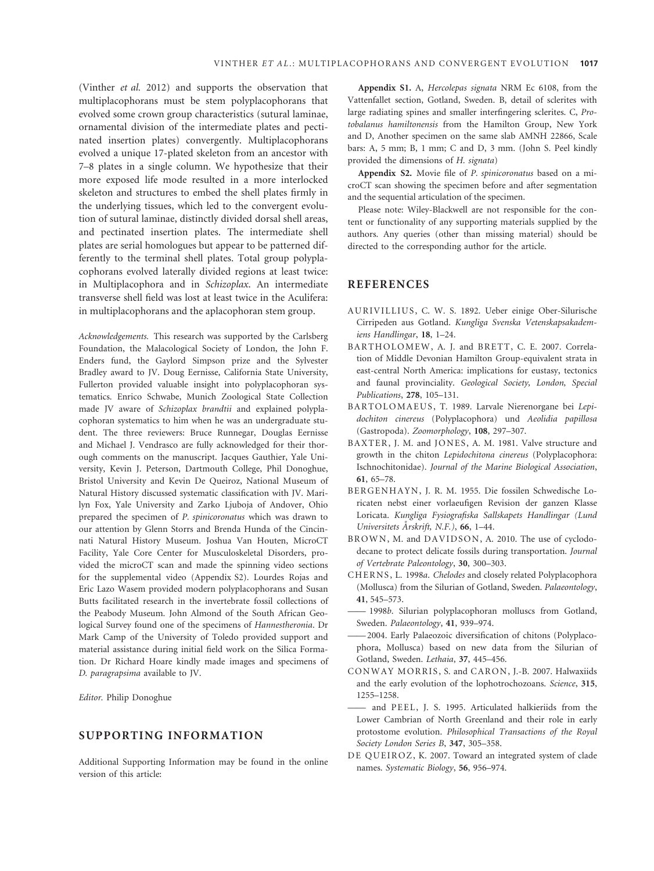(Vinther et al. 2012) and supports the observation that multiplacophorans must be stem polyplacophorans that evolved some crown group characteristics (sutural laminae, ornamental division of the intermediate plates and pectinated insertion plates) convergently. Multiplacophorans evolved a unique 17-plated skeleton from an ancestor with 7–8 plates in a single column. We hypothesize that their more exposed life mode resulted in a more interlocked skeleton and structures to embed the shell plates firmly in the underlying tissues, which led to the convergent evolution of sutural laminae, distinctly divided dorsal shell areas, and pectinated insertion plates. The intermediate shell plates are serial homologues but appear to be patterned differently to the terminal shell plates. Total group polyplacophorans evolved laterally divided regions at least twice: in Multiplacophora and in Schizoplax. An intermediate transverse shell field was lost at least twice in the Aculifera: in multiplacophorans and the aplacophoran stem group.

Acknowledgements. This research was supported by the Carlsberg Foundation, the Malacological Society of London, the John F. Enders fund, the Gaylord Simpson prize and the Sylvester Bradley award to JV. Doug Eernisse, California State University, Fullerton provided valuable insight into polyplacophoran systematics. Enrico Schwabe, Munich Zoological State Collection made JV aware of Schizoplax brandtii and explained polyplacophoran systematics to him when he was an undergraduate student. The three reviewers: Bruce Runnegar, Douglas Eernisse and Michael J. Vendrasco are fully acknowledged for their thorough comments on the manuscript. Jacques Gauthier, Yale University, Kevin J. Peterson, Dartmouth College, Phil Donoghue, Bristol University and Kevin De Queiroz, National Museum of Natural History discussed systematic classification with JV. Marilyn Fox, Yale University and Zarko Ljuboja of Andover, Ohio prepared the specimen of P. spinicoronatus which was drawn to our attention by Glenn Storrs and Brenda Hunda of the Cincinnati Natural History Museum. Joshua Van Houten, MicroCT Facility, Yale Core Center for Musculoskeletal Disorders, provided the microCT scan and made the spinning video sections for the supplemental video (Appendix S2). Lourdes Rojas and Eric Lazo Wasem provided modern polyplacophorans and Susan Butts facilitated research in the invertebrate fossil collections of the Peabody Museum. John Almond of the South African Geological Survey found one of the specimens of Hannestheronia. Dr Mark Camp of the University of Toledo provided support and material assistance during initial field work on the Silica Formation. Dr Richard Hoare kindly made images and specimens of D. paragrapsima available to JV.

Editor. Philip Donoghue

## SUPPORTING INFORMATION

Additional Supporting Information may be found in the online version of this article:

Appendix S1. A, Hercolepas signata NRM Ec 6108, from the Vattenfallet section, Gotland, Sweden. B, detail of sclerites with large radiating spines and smaller interfingering sclerites. C, Protobalanus hamiltonensis from the Hamilton Group, New York and D, Another specimen on the same slab AMNH 22866, Scale bars: A, 5 mm; B, 1 mm; C and D, 3 mm. (John S. Peel kindly provided the dimensions of H. signata)

Appendix S2. Movie file of P. spinicoronatus based on a microCT scan showing the specimen before and after segmentation and the sequential articulation of the specimen.

Please note: Wiley-Blackwell are not responsible for the content or functionality of any supporting materials supplied by the authors. Any queries (other than missing material) should be directed to the corresponding author for the article.

## REFERENCES

- AURIVILLIUS, C. W. S. 1892. Ueber einige Ober-Silurische Cirripeden aus Gotland. Kungliga Svenska Vetenskapsakademiens Handlingar, 18, 1–24.
- BARTHOLOMEW, A. J. and BRETT, C. E. 2007. Correlation of Middle Devonian Hamilton Group-equivalent strata in east-central North America: implications for eustasy, tectonics and faunal provinciality. Geological Society, London, Special Publications, 278, 105–131.
- BARTOLOMAEUS, T. 1989. Larvale Nierenorgane bei Lepidochiton cinereus (Polyplacophora) und Aeolidia papillosa (Gastropoda). Zoomorphology, 108, 297–307.
- BAXTER, J. M. and JONES, A. M. 1981. Valve structure and growth in the chiton Lepidochitona cinereus (Polyplacophora: Ischnochitonidae). Journal of the Marine Biological Association, 61, 65–78.
- BERGENHAYN, J. R. M. 1955. Die fossilen Schwedische Loricaten nebst einer vorlaeufigen Revision der ganzen Klasse Loricata. Kungliga Fysiografiska Sallskapets Handlingar (Lund Universitets Årskrift, N.F.), 66, 1–44.
- BROWN, M. and DAVIDSON, A. 2010. The use of cyclododecane to protect delicate fossils during transportation. Journal of Vertebrate Paleontology, 30, 300–303.
- CHERNS, L. 1998a. Chelodes and closely related Polyplacophora (Mollusca) from the Silurian of Gotland, Sweden. Palaeontology, 41, 545–573.
- —— 1998b. Silurian polyplacophoran molluscs from Gotland, Sweden. Palaeontology, 41, 939–974.
- -2004. Early Palaeozoic diversification of chitons (Polyplacophora, Mollusca) based on new data from the Silurian of Gotland, Sweden. Lethaia, 37, 445–456.
- CONWAY MORRIS, S. and CARON, J.-B. 2007. Halwaxiids and the early evolution of the lophotrochozoans. Science, 315, 1255–1258.
- and PEEL, J. S. 1995. Articulated halkieriids from the Lower Cambrian of North Greenland and their role in early protostome evolution. Philosophical Transactions of the Royal Society London Series B, 347, 305–358.
- DE QUEIROZ, K. 2007. Toward an integrated system of clade names. Systematic Biology, 56, 956–974.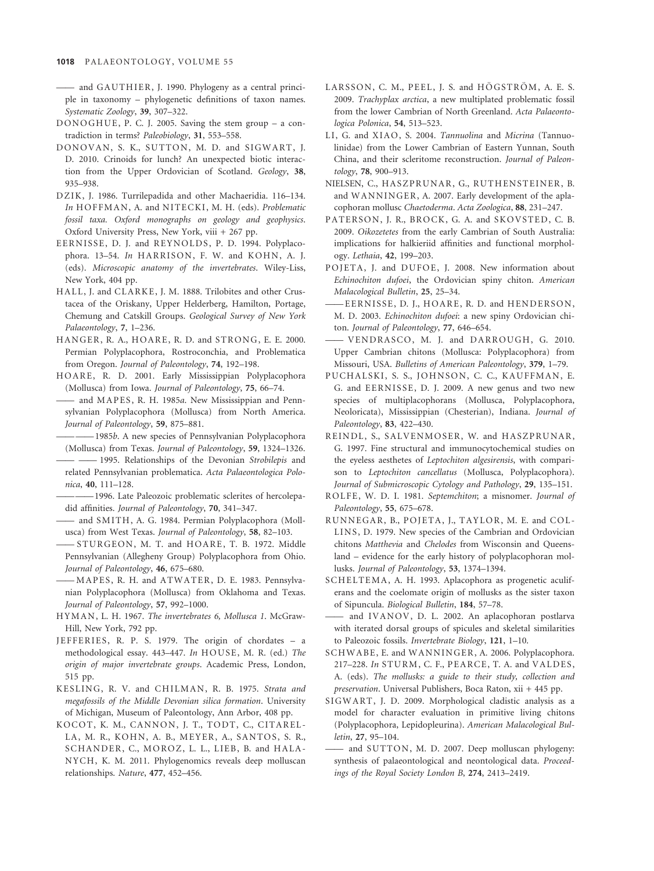- and GAUTHIER, J. 1990. Phylogeny as a central principle in taxonomy – phylogenetic definitions of taxon names. Systematic Zoology, 39, 307–322.

- $DOMOGHUE$ , P. C. J. 2005. Saving the stem group a contradiction in terms? Paleobiology, 31, 553–558.
- DONOVAN, S. K., SUTTON, M. D. and SIGWART, J. D. 2010. Crinoids for lunch? An unexpected biotic interaction from the Upper Ordovician of Scotland. Geology, 38, 935–938.
- DZIK, J. 1986. Turrilepadida and other Machaeridia. 116-134. In HOFFMAN, A. and NITECKI, M. H. (eds). Problematic fossil taxa. Oxford monographs on geology and geophysics. Oxford University Press, New York, viii + 267 pp.
- EERNISSE, D. J. and REYNOLDS, P. D. 1994. Polyplacophora. 13-54. In HARRISON, F. W. and KOHN, A. J. (eds). Microscopic anatomy of the invertebrates. Wiley-Liss, New York, 404 pp.
- HALL, J. and CLARKE, J. M. 1888. Trilobites and other Crustacea of the Oriskany, Upper Helderberg, Hamilton, Portage, Chemung and Catskill Groups. Geological Survey of New York Palaeontology, 7, 1–236.
- HANGER, R. A., HOARE, R. D. and STRONG, E. E. 2000. Permian Polyplacophora, Rostroconchia, and Problematica from Oregon. Journal of Paleontology, 74, 192-198.
- HOARE, R. D. 2001. Early Mississippian Polyplacophora (Mollusca) from Iowa. Journal of Paleontology, 75, 66–74.
- and MAPES, R. H. 1985a. New Mississippian and Pennsylvanian Polyplacophora (Mollusca) from North America. Journal of Paleontology, 59, 875–881.
- $-1985b$ . A new species of Pennsylvanian Polyplacophora (Mollusca) from Texas. Journal of Paleontology, 59, 1324–1326.
- 1995. Relationships of the Devonian Strobilepis and related Pennsylvanian problematica. Acta Palaeontologica Polonica, 40, 111–128.
- ————1996. Late Paleozoic problematic sclerites of hercolepadid affinities. Journal of Paleontology, 70, 341–347.
- and SMITH, A. G. 1984. Permian Polyplacophora (Mollusca) from West Texas. Journal of Paleontology, 58, 82–103.
- -STURGEON, M. T. and HOARE, T. B. 1972. Middle Pennsylvanian (Allegheny Group) Polyplacophora from Ohio. Journal of Paleontology, 46, 675–680.
- -MAPES, R. H. and ATWATER, D. E. 1983. Pennsylvanian Polyplacophora (Mollusca) from Oklahoma and Texas. Journal of Paleontology, 57, 992–1000.
- HYMAN, L. H. 1967. The invertebrates 6, Mollusca 1. McGraw-Hill, New York, 792 pp.
- JEFFERIES, R. P. S. 1979. The origin of chordates a methodological essay. 443-447. In HOUSE, M. R. (ed.) The origin of major invertebrate groups. Academic Press, London, 515 pp.
- KESLING, R. V. and CHILMAN, R. B. 1975. Strata and megafossils of the Middle Devonian silica formation. University of Michigan, Museum of Paleontology, Ann Arbor, 408 pp.
- KOCOT, K. M., CANNON, J. T., TODT, C., CITAREL-LA, M. R., KOHN, A. B., MEYER, A., SANTOS, S. R., SCHANDER, C., MOROZ, L. L., LIEB, B. and HALA-NYCH, K. M. 2011. Phylogenomics reveals deep molluscan relationships. Nature, 477, 452–456.
- LARSSON, C. M., PEEL, J. S. and HÖGSTRÖM, A. E. S. 2009. Trachyplax arctica, a new multiplated problematic fossil from the lower Cambrian of North Greenland. Acta Palaeontologica Polonica, 54, 513–523.
- LI, G. and XIAO, S. 2004. Tannuolina and Micrina (Tannuolinidae) from the Lower Cambrian of Eastern Yunnan, South China, and their scleritome reconstruction. Journal of Paleontology, 78, 900–913.
- NIELSEN, C., HASZPRUNAR, G., RUTHENSTEINER, B. and WANNINGER, A. 2007. Early development of the aplacophoran mollusc Chaetoderma. Acta Zoologica, 88, 231–247.
- PATERSON, J. R., BROCK, G. A. and SKOVSTED, C. B. 2009. Oikozetetes from the early Cambrian of South Australia: implications for halkieriid affinities and functional morphology. Lethaia, 42, 199–203.
- POJETA, J. and DUFOE, J. 2008. New information about Echinochiton dufoei, the Ordovician spiny chiton. American Malacological Bulletin, 25, 25–34.
- -EERNISSE, D. J., HOARE, R. D. and HENDERSON, M. D. 2003. Echinochiton dufoei: a new spiny Ordovician chiton. Journal of Paleontology, 77, 646–654.
- VENDRASCO, M. J. and DARROUGH, G. 2010. Upper Cambrian chitons (Mollusca: Polyplacophora) from Missouri, USA. Bulletins of American Paleontology, 379, 1–79.
- PUCHALSKI, S. S., JOHNSON, C. C., KAUFFMAN, E. G. and EERNISSE, D. J. 2009. A new genus and two new species of multiplacophorans (Mollusca, Polyplacophora, Neoloricata), Mississippian (Chesterian), Indiana. Journal of Paleontology, 83, 422–430.
- REINDL, S., SALVENMOSER, W. and HASZPRUNAR, G. 1997. Fine structural and immunocytochemical studies on the eyeless aesthetes of Leptochiton algesirensis, with comparison to Leptochiton cancellatus (Mollusca, Polyplacophora). Journal of Submicroscopic Cytology and Pathology, 29, 135–151.
- ROLFE, W. D. I. 1981. Septemchiton; a misnomer. Journal of Paleontology, 55, 675–678.
- RUNNEGAR, B., POJETA, J., TAYLOR, M. E. and COL-LINS, D. 1979. New species of the Cambrian and Ordovician chitons Matthevia and Chelodes from Wisconsin and Queensland – evidence for the early history of polyplacophoran mollusks. Journal of Paleontology, 53, 1374–1394.
- SCHELTEMA, A. H. 1993. Aplacophora as progenetic aculiferans and the coelomate origin of mollusks as the sister taxon of Sipuncula. Biological Bulletin, 184, 57–78.
- and IVANOV, D. L. 2002. An aplacophoran postlarva with iterated dorsal groups of spicules and skeletal similarities to Paleozoic fossils. Invertebrate Biology, 121, 1–10.
- SCHWABE, E. and WANNINGER, A. 2006. Polyplacophora. 217-228. In STURM, C. F., PEARCE, T. A. and VALDES, A. (eds). The mollusks: a guide to their study, collection and preservation. Universal Publishers, Boca Raton, xii + 445 pp.
- SIGWART, J. D. 2009. Morphological cladistic analysis as a model for character evaluation in primitive living chitons (Polyplacophora, Lepidopleurina). American Malacological Bulletin, 27, 95–104.
- and SUTTON, M. D. 2007. Deep molluscan phylogeny: synthesis of palaeontological and neontological data. Proceedings of the Royal Society London B, 274, 2413–2419.